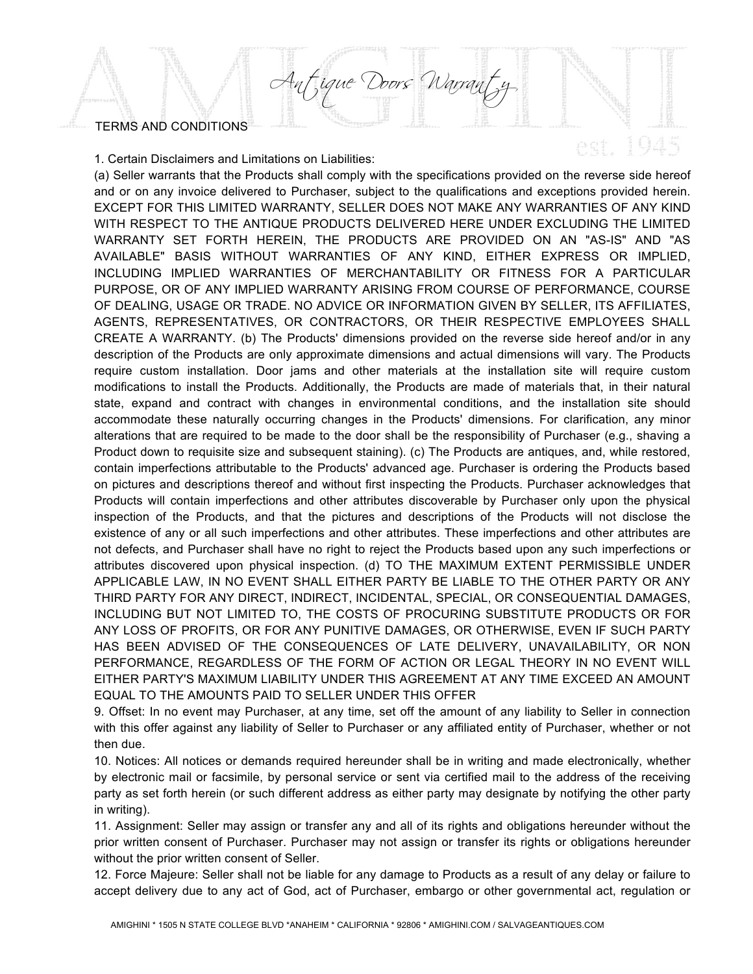## TERMS AND CONDITIONS

1. Certain Disclaimers and Limitations on Liabilities:

(a) Seller warrants that the Products shall comply with the specifications provided on the reverse side hereof and or on any invoice delivered to Purchaser, subject to the qualifications and exceptions provided herein. EXCEPT FOR THIS LIMITED WARRANTY, SELLER DOES NOT MAKE ANY WARRANTIES OF ANY KIND WITH RESPECT TO THE ANTIQUE PRODUCTS DELIVERED HERE UNDER EXCLUDING THE LIMITED WARRANTY SET FORTH HEREIN, THE PRODUCTS ARE PROVIDED ON AN "AS-IS" AND "AS AVAILABLE" BASIS WITHOUT WARRANTIES OF ANY KIND, EITHER EXPRESS OR IMPLIED, INCLUDING IMPLIED WARRANTIES OF MERCHANTABILITY OR FITNESS FOR A PARTICULAR PURPOSE, OR OF ANY IMPLIED WARRANTY ARISING FROM COURSE OF PERFORMANCE, COURSE OF DEALING, USAGE OR TRADE. NO ADVICE OR INFORMATION GIVEN BY SELLER, ITS AFFILIATES, AGENTS, REPRESENTATIVES, OR CONTRACTORS, OR THEIR RESPECTIVE EMPLOYEES SHALL CREATE A WARRANTY. (b) The Products' dimensions provided on the reverse side hereof and/or in any description of the Products are only approximate dimensions and actual dimensions will vary. The Products require custom installation. Door jams and other materials at the installation site will require custom modifications to install the Products. Additionally, the Products are made of materials that, in their natural state, expand and contract with changes in environmental conditions, and the installation site should accommodate these naturally occurring changes in the Products' dimensions. For clarification, any minor alterations that are required to be made to the door shall be the responsibility of Purchaser (e.g., shaving a Product down to requisite size and subsequent staining). (c) The Products are antiques, and, while restored, contain imperfections attributable to the Products' advanced age. Purchaser is ordering the Products based on pictures and descriptions thereof and without first inspecting the Products. Purchaser acknowledges that Products will contain imperfections and other attributes discoverable by Purchaser only upon the physical inspection of the Products, and that the pictures and descriptions of the Products will not disclose the existence of any or all such imperfections and other attributes. These imperfections and other attributes are not defects, and Purchaser shall have no right to reject the Products based upon any such imperfections or attributes discovered upon physical inspection. (d) TO THE MAXIMUM EXTENT PERMISSIBLE UNDER APPLICABLE LAW, IN NO EVENT SHALL EITHER PARTY BE LIABLE TO THE OTHER PARTY OR ANY THIRD PARTY FOR ANY DIRECT, INDIRECT, INCIDENTAL, SPECIAL, OR CONSEQUENTIAL DAMAGES, INCLUDING BUT NOT LIMITED TO, THE COSTS OF PROCURING SUBSTITUTE PRODUCTS OR FOR ANY LOSS OF PROFITS, OR FOR ANY PUNITIVE DAMAGES, OR OTHERWISE, EVEN IF SUCH PARTY HAS BEEN ADVISED OF THE CONSEQUENCES OF LATE DELIVERY, UNAVAILABILITY, OR NON PERFORMANCE, REGARDLESS OF THE FORM OF ACTION OR LEGAL THEORY IN NO EVENT WILL EITHER PARTY'S MAXIMUM LIABILITY UNDER THIS AGREEMENT AT ANY TIME EXCEED AN AMOUNT EQUAL TO THE AMOUNTS PAID TO SELLER UNDER THIS OFFER

Antique Doors Warranty

9. Offset: In no event may Purchaser, at any time, set off the amount of any liability to Seller in connection with this offer against any liability of Seller to Purchaser or any affiliated entity of Purchaser, whether or not then due.

10. Notices: All notices or demands required hereunder shall be in writing and made electronically, whether by electronic mail or facsimile, by personal service or sent via certified mail to the address of the receiving party as set forth herein (or such different address as either party may designate by notifying the other party in writing).

11. Assignment: Seller may assign or transfer any and all of its rights and obligations hereunder without the prior written consent of Purchaser. Purchaser may not assign or transfer its rights or obligations hereunder without the prior written consent of Seller.

12. Force Majeure: Seller shall not be liable for any damage to Products as a result of any delay or failure to accept delivery due to any act of God, act of Purchaser, embargo or other governmental act, regulation or